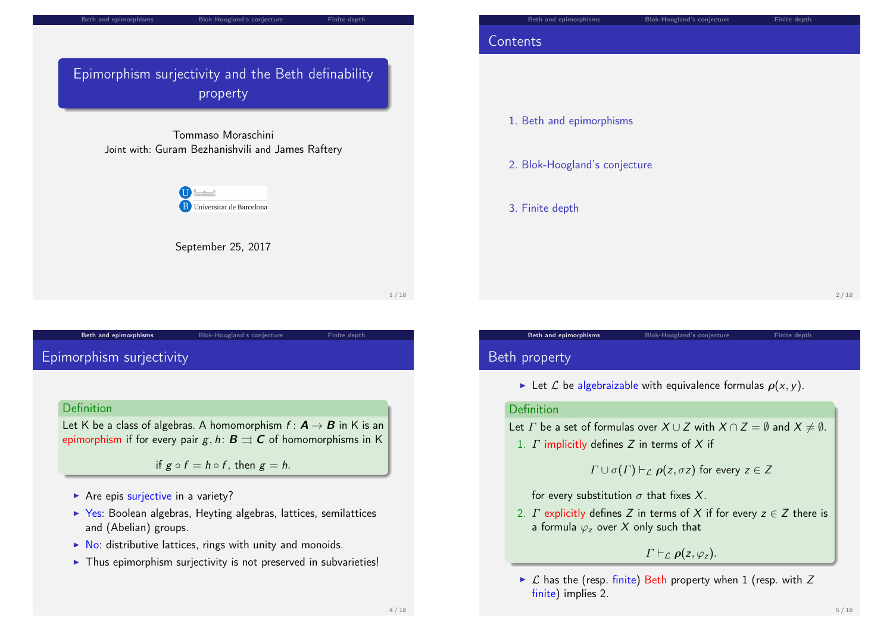

# <span id="page-0-0"></span>[Epimorphism](#page-0-0) surject[ivity](#page-1-0)

### **Definition**

Let K be a class of algebras. A homomorphism  $f: \mathbf{A} \to \mathbf{B}$  in K is an [epimorphism](#page-0-0) if for every pair g, h:  $\mathbf{B} \rightrightarrows \mathbf{C}$  of homomorphisms in K

Beth and epimorphisms **Blok-Hoogland's conjecture** Finite depth

if  $g \circ f = h \circ f$ , then  $g = h$ .

- $\triangleright$  Are epis [surjective](#page-1-0) in a variety?
- $\triangleright$  Yes: Boolean algebras, Heyting algebras, lattices, semilattices and (Abelian) groups.
- $\triangleright$  [No:](#page-2-0) distributive lattices, rings with unity and monoids.
- $\triangleright$  Thus epimorphism suriectivity is not preserved in subvarieties!

# **Contents**

1. Beth and epimorphisms

- 2. Blok-Hoogland's conjecture
- 3. Finite depth

2 / 18

# Beth property

Exect L be algebraizable with equivalence formulas  $\rho(x, y)$ .

Beth and epimorphisms Blok-Hoogland's conjecture Finite depth

### Definition

Let  $\Gamma$  be a set of formulas over  $X \cup Z$  with  $X \cap Z = \emptyset$  and  $X \neq \emptyset$ .

1.  $\Gamma$  implicitly defines  $Z$  in terms of  $X$  if

 $\Gamma \cup \sigma(\Gamma) \vdash_{\mathcal{L}} \rho(z, \sigma z)$  for every  $z \in \mathcal{Z}$ 

for every substitution  $\sigma$  that fixes X.

2. *Γ* explicitly defines *Z* in terms of *X* if for every  $z \in Z$  there is a formula  $\varphi$ <sub>z</sub> over X only such that

 $\Gamma \vdash_{\mathcal{L}} \rho(z, \varphi_z)$ .

 $\triangleright$   $\mathcal L$  has the (resp. finite) Beth property when 1 (resp. with Z finite) implies 2.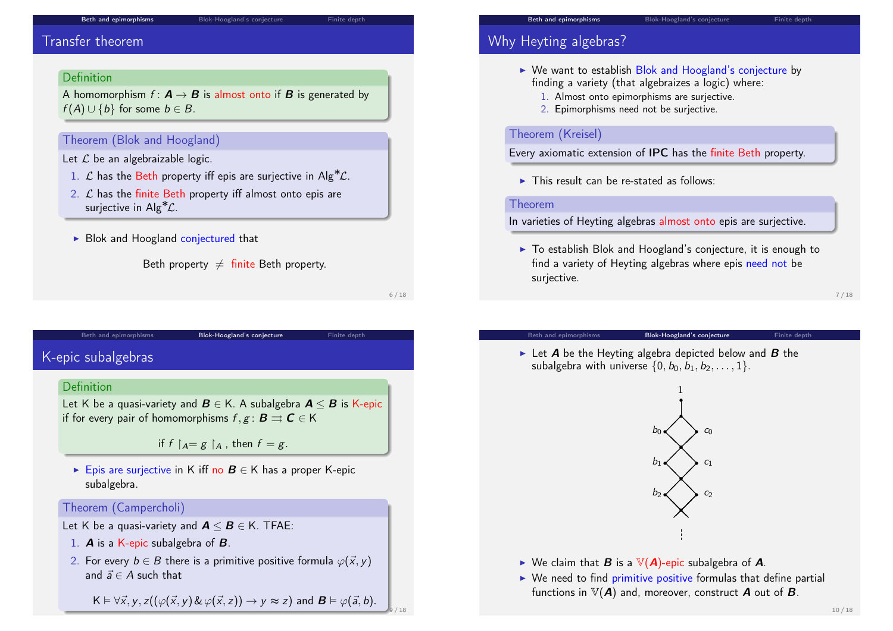# Transfer theorem

## Definition

A homomorphism  $f: \mathbf{A} \to \mathbf{B}$  is almost onto if  $\mathbf{B}$  is generated by  $f(A) \cup \{b\}$  for some  $b \in B$ .

## Theorem (Blok and Hoogland)

Let  $\mathcal L$  be an algebraizable logic.

- 1.  $\mathcal L$  has the Beth property iff epis are surjective in Alg<sup>\*</sup> $\mathcal L$ .
- 2.  $\mathcal L$  has the finite Beth property iff almost onto epis are surjective in Alg<sup>\*</sup> $\mathcal{L}$ .
- $\triangleright$  Blok and Hoogland conjectured that

Beth property  $\neq$  finite Beth property.

6 / 18

9 / 18

# <span id="page-1-0"></span>[K-epic subalge](#page-0-0)bras

### Definition

Let K be a quasi-variety and  $B \in K$ . A subalgebra  $A \leq B$  is K-epic if for every pair of homomorphisms  $f, g : \mathbf{B} \rightrightarrows \mathbf{C} \in \mathsf{K}$ 

Beth and epimorphisms **Blok-Hoogland's conjecture** Finite depth

if  $f \upharpoonright_{A} = g \upharpoonright_{A}$ , then  $f = g$ .

► Epis are surjective in K iff no  $B \in K$  has a proper K-epic subalgebra.

## Theorem (Campercholi)

Let K be a quasi-variety and  $A \leq B \in K$ . TFAE:

- 1. A is a K-epic subalgebra of B.
- 2. For every  $b \in B$  there is a primitive positive formula  $\varphi(\vec{x}, y)$ and  $\vec{a} \in A$  such that

 $K \vDash \forall \vec{x}, y, z((\varphi(\vec{x}, y) \& \varphi(\vec{x}, z)) \rightarrow y \approx z)$  and  $\mathbf{B} \vDash \varphi(\vec{a}, b)$ .

# Why Heyting algebras?

- $\triangleright$  We want to establish Blok and Hoogland's conjecture by finding a variety (that algebraizes a logic) where:
	- 1. Almost onto epimorphisms are surjective.
	- 2. Epimorphisms need not be surjective.

## Theorem (Kreisel)

Every axiomatic extension of IPC has the finite Beth property.

 $\triangleright$  This result can be re-stated as follows:

### Theorem

In varieties of Heyting algebras almost onto epis are surjective.

 $\triangleright$  To establish Blok and Hoogland's conjecture, it is enough to find a variety of Heyting algebras where epis need not be suriective.

### 7 / 18

### Beth and epimorphisms **Blok-Hoogland's conjecture** Finite depthene

 $\triangleright$  Let **A** be the Heyting algebra depicted below and **B** the subalgebra with universe  $\{0, b_0, b_1, b_2, \ldots, 1\}$ .



- $\triangleright$  We claim that **B** is a  $V(A)$ -epic subalgebra of **A**.
- $\triangleright$  We need to find primitive positive formulas that define partial functions in  $V(A)$  and, moreover, construct A out of B.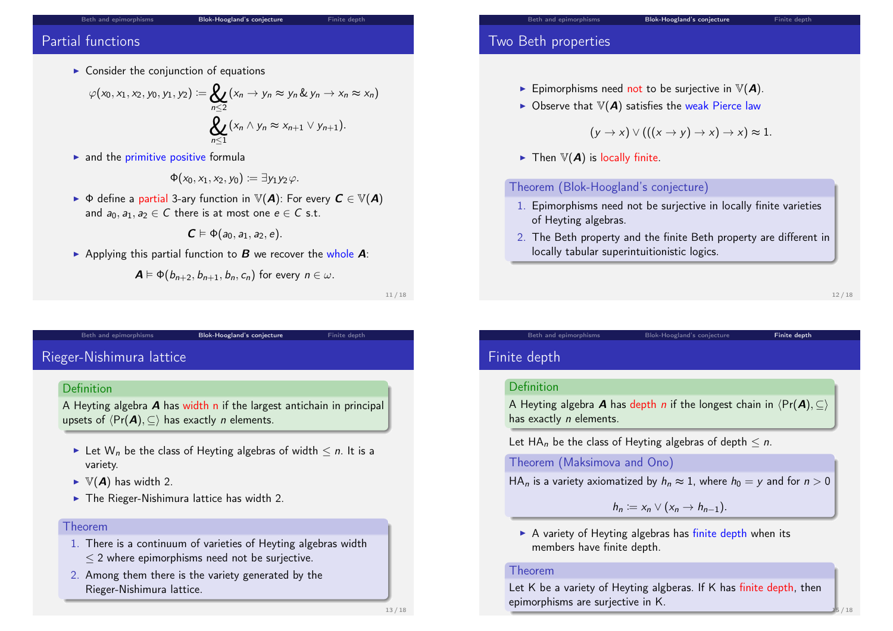# Partial functions

 $\triangleright$  Consider the conjunction of equations

$$
\varphi(x_0, x_1, x_2, y_0, y_1, y_2) := \bigotimes_{n \leq 2} (x_n \to y_n \approx y_n \& y_n \to x_n \approx x_n)
$$
\n
$$
\bigotimes_{n \leq 1} (x_n \land y_n \approx x_{n+1} \lor y_{n+1}).
$$

 $\blacktriangleright$  and the primitive positive formula

$$
\Phi(x_0,x_1,x_2,y_0)\coloneqq\exists y_1y_2\varphi.
$$

 $\blacktriangleright$   $\blacklozenge$  define a partial 3-ary function in  $\mathbb{V}(A)$ : For every  $C \in \mathbb{V}(A)$ and  $a_0, a_1, a_2 \in C$  there is at most one  $e \in C$  s.t.

$$
\boldsymbol{C}\vDash\Phi(a_{0},a_{1},a_{2},e).
$$

Applying this partial function to  $\bm{B}$  we recover the whole  $\bm{A}$ :

$$
\mathbf{A} \models \Phi(b_{n+2}, b_{n+1}, b_n, c_n)
$$
 for every  $n \in \omega$ .

11 / 18

# <span id="page-2-0"></span>[Rieger-Nishim](#page-0-0)ura lat[tice](#page-1-0)

## Definition

A Heyting algebra A has width n if the largest antichain in principal upsets of  $\langle Pr(\mathbf{A}), \subseteq \rangle$  has exactly *n* elements.

Beth and epimorphisms **Blok-Hoogland's conjecture** Finite depth

- Exect W<sub>n</sub> be the class of Heyting algebras of width  $\leq n$ . It is a variety.
- $\blacktriangleright \mathbb{V}(\boldsymbol{A})$  has width 2.
- $\blacktriangleright$  The Rieger-Nishimura lattice has width 2.

## Theorem

- 1. There is a continuum of varieties of Heyting algebras width  $\leq$  2 where epimorphisms need not be surjective.
- 2. Among them there is the variety generated by the Rieger-Nishimura lattice.

# Two Beth properties

- **Figure 5** Epimorphisms need not to be surjective in  $V(A)$ .
- $\triangleright$  Observe that  $\mathbb{V}(A)$  satisfies the weak Pierce law

 $(y \rightarrow x) \vee (((x \rightarrow y) \rightarrow x) \rightarrow x) \approx 1.$ 

 $\blacktriangleright$  Then  $\mathbb{V}(A)$  is locally finite.

## Theorem (Blok-Hoogland's conjecture)

- 1. Epimorphisms need not be surjective in locally finite varieties of Heyting algebras.
- 2. The Beth property and the finite Beth property are different in locally tabular superintuitionistic logics.

12 / 18

# Finite depth

### Definition

A Heyting algebra **A** has depth n if the longest chain in  $\langle Pr(\mathbf{A}), \subseteq \rangle$ has exactly *n* elements.

Beth and epimorphisms Blok-Hoogland's conjecture Finite depth

Let HA<sub>n</sub> be the class of Heyting algebras of depth  $\leq n$ .

Theorem (Maksimova and Ono)

HA<sub>n</sub> is a variety axiomatized by  $h_n \approx 1$ , where  $h_0 = y$  and for  $n > 0$ 

 $h_n := x_n \vee (x_n \rightarrow h_{n-1}).$ 

 $\triangleright$  A variety of Heyting algebras has finite depth when its members have finite depth.

### Theorem

Let K be a variety of Heyting algberas. If K has finite depth, then epimorphisms are surjective in K.